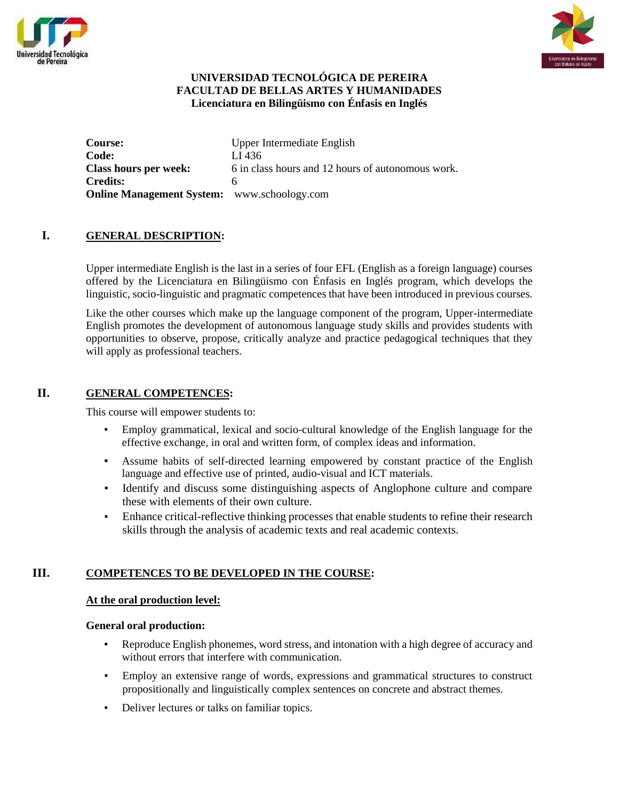



# **UNIVERSIDAD TECNOLÓGICA DE PEREIRA FACULTAD DE BELLAS ARTES Y HUMANIDADES Licenciatura en Bilingüismo con Énfasis en Inglés**

| <b>Course:</b>                                     | Upper Intermediate English                        |
|----------------------------------------------------|---------------------------------------------------|
| Code:                                              | LI 436                                            |
| Class hours per week:                              | 6 in class hours and 12 hours of autonomous work. |
| <b>Credits:</b>                                    |                                                   |
| <b>Online Management System:</b> www.schoology.com |                                                   |

# **I. GENERAL DESCRIPTION:**

Upper intermediate English is the last in a series of four EFL (English as a foreign language) courses offered by the Licenciatura en Bilingüismo con Énfasis en Inglés program, which develops the linguistic, socio-linguistic and pragmatic competences that have been introduced in previous courses.

Like the other courses which make up the language component of the program, Upper-intermediate English promotes the development of autonomous language study skills and provides students with opportunities to observe, propose, critically analyze and practice pedagogical techniques that they will apply as professional teachers.

# **II. GENERAL COMPETENCES:**

This course will empower students to:

- Employ grammatical, lexical and socio-cultural knowledge of the English language for the effective exchange, in oral and written form, of complex ideas and information.
- Assume habits of self-directed learning empowered by constant practice of the English language and effective use of printed, audio-visual and ICT materials.
- Identify and discuss some distinguishing aspects of Anglophone culture and compare these with elements of their own culture.
- Enhance critical-reflective thinking processes that enable students to refine their research skills through the analysis of academic texts and real academic contexts.

# **III. COMPETENCES TO BE DEVELOPED IN THE COURSE:**

#### **At the oral production level:**

#### **General oral production:**

- Reproduce English phonemes, word stress, and intonation with a high degree of accuracy and without errors that interfere with communication.
- Employ an extensive range of words, expressions and grammatical structures to construct propositionally and linguistically complex sentences on concrete and abstract themes.
- Deliver lectures or talks on familiar topics.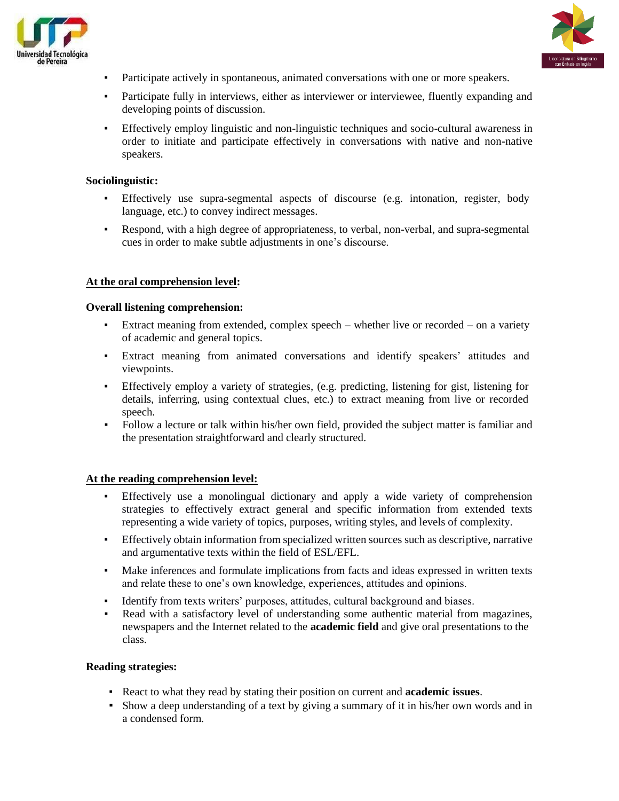



- Participate actively in spontaneous, animated conversations with one or more speakers.
- Participate fully in interviews, either as interviewer or interviewee, fluently expanding and developing points of discussion.
- Effectively employ linguistic and non-linguistic techniques and socio-cultural awareness in order to initiate and participate effectively in conversations with native and non-native speakers.

#### **Sociolinguistic:**

- Effectively use supra-segmental aspects of discourse (e.g. intonation, register, body language, etc.) to convey indirect messages.
- Respond, with a high degree of appropriateness, to verbal, non-verbal, and supra-segmental cues in order to make subtle adjustments in one's discourse.

#### **At the oral comprehension level:**

#### **Overall listening comprehension:**

- Extract meaning from extended, complex speech whether live or recorded on a variety of academic and general topics.
- Extract meaning from animated conversations and identify speakers' attitudes and viewpoints.
- Effectively employ a variety of strategies, (e.g. predicting, listening for gist, listening for details, inferring, using contextual clues, etc.) to extract meaning from live or recorded speech.
- Follow a lecture or talk within his/her own field, provided the subject matter is familiar and the presentation straightforward and clearly structured.

#### **At the reading comprehension level:**

- Effectively use a monolingual dictionary and apply a wide variety of comprehension strategies to effectively extract general and specific information from extended texts representing a wide variety of topics, purposes, writing styles, and levels of complexity.
- Effectively obtain information from specialized written sources such as descriptive, narrative and argumentative texts within the field of ESL/EFL.
- Make inferences and formulate implications from facts and ideas expressed in written texts and relate these to one's own knowledge, experiences, attitudes and opinions.
- Identify from texts writers' purposes, attitudes, cultural background and biases.
- Read with a satisfactory level of understanding some authentic material from magazines, newspapers and the Internet related to the **academic field** and give oral presentations to the class.

#### **Reading strategies:**

- React to what they read by stating their position on current and **academic issues**.
- Show a deep understanding of a text by giving a summary of it in his/her own words and in a condensed form.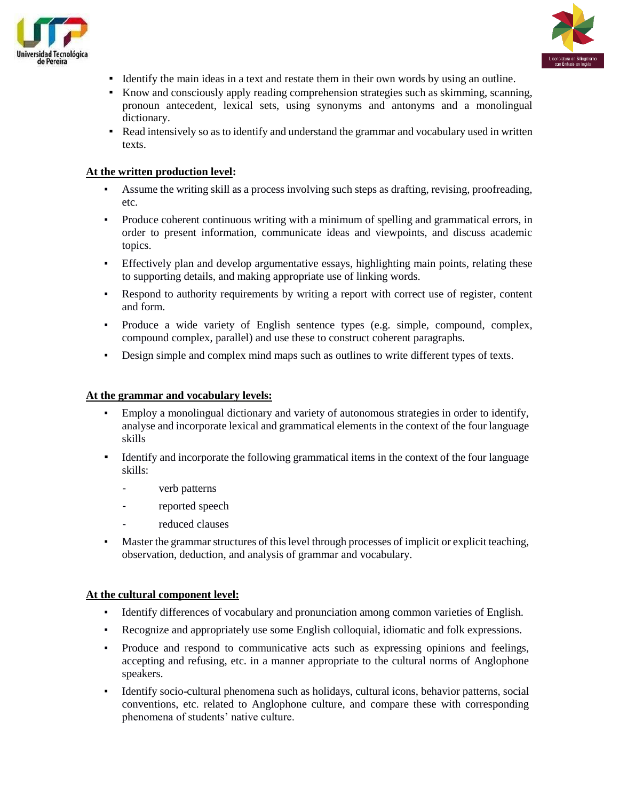



- Identify the main ideas in a text and restate them in their own words by using an outline.
- Know and consciously apply reading comprehension strategies such as skimming, scanning, pronoun antecedent, lexical sets, using synonyms and antonyms and a monolingual dictionary.
- Read intensively so as to identify and understand the grammar and vocabulary used in written texts.

## **At the written production level:**

- Assume the writing skill as a process involving such steps as drafting, revising, proofreading, etc.
- Produce coherent continuous writing with a minimum of spelling and grammatical errors, in order to present information, communicate ideas and viewpoints, and discuss academic topics.
- Effectively plan and develop argumentative essays, highlighting main points, relating these to supporting details, and making appropriate use of linking words.
- Respond to authority requirements by writing a report with correct use of register, content and form.
- Produce a wide variety of English sentence types (e.g. simple, compound, complex, compound complex, parallel) and use these to construct coherent paragraphs.
- Design simple and complex mind maps such as outlines to write different types of texts.

# **At the grammar and vocabulary levels:**

- Employ a monolingual dictionary and variety of autonomous strategies in order to identify, analyse and incorporate lexical and grammatical elements in the context of the four language skills
- Identify and incorporate the following grammatical items in the context of the four language skills:
	- verb patterns
	- reported speech
	- reduced clauses
- Master the grammar structures of this level through processes of implicit or explicit teaching, observation, deduction, and analysis of grammar and vocabulary.

#### **At the cultural component level:**

- Identify differences of vocabulary and pronunciation among common varieties of English.
- Recognize and appropriately use some English colloquial, idiomatic and folk expressions.
- Produce and respond to communicative acts such as expressing opinions and feelings, accepting and refusing, etc. in a manner appropriate to the cultural norms of Anglophone speakers.
- Identify socio-cultural phenomena such as holidays, cultural icons, behavior patterns, social conventions, etc. related to Anglophone culture, and compare these with corresponding phenomena of students' native culture.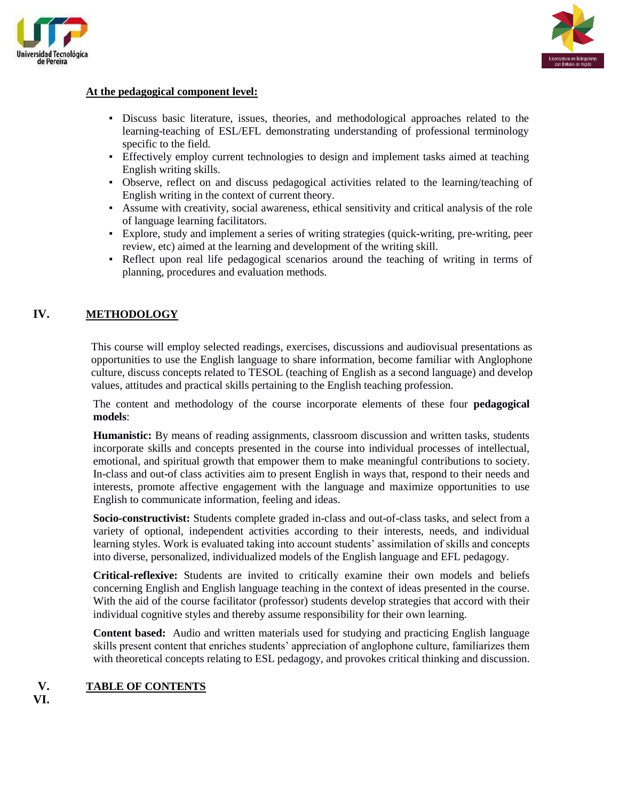



# **At the pedagogical component level:**

- Discuss basic literature, issues, theories, and methodological approaches related to the learning-teaching of ESL/EFL demonstrating understanding of professional terminology specific to the field.
- Effectively employ current technologies to design and implement tasks aimed at teaching English writing skills.
- Observe, reflect on and discuss pedagogical activities related to the learning/teaching of English writing in the context of current theory.
- Assume with creativity, social awareness, ethical sensitivity and critical analysis of the role of language learning facilitators.
- Explore, study and implement a series of writing strategies (quick-writing, pre-writing, peer review, etc) aimed at the learning and development of the writing skill.
- Reflect upon real life pedagogical scenarios around the teaching of writing in terms of planning, procedures and evaluation methods.

# **IV. METHODOLOGY**

This course will employ selected readings, exercises, discussions and audiovisual presentations as opportunities to use the English language to share information, become familiar with Anglophone culture, discuss concepts related to TESOL (teaching of English as a second language) and develop values, attitudes and practical skills pertaining to the English teaching profession.

The content and methodology of the course incorporate elements of these four **pedagogical models**:

**Humanistic:** By means of reading assignments, classroom discussion and written tasks, students incorporate skills and concepts presented in the course into individual processes of intellectual, emotional, and spiritual growth that empower them to make meaningful contributions to society. In-class and out-of class activities aim to present English in ways that, respond to their needs and interests, promote affective engagement with the language and maximize opportunities to use English to communicate information, feeling and ideas.

**Socio-constructivist:** Students complete graded in-class and out-of-class tasks, and select from a variety of optional, independent activities according to their interests, needs, and individual learning styles. Work is evaluated taking into account students' assimilation of skills and concepts into diverse, personalized, individualized models of the English language and EFL pedagogy.

**Critical-reflexive:** Students are invited to critically examine their own models and beliefs concerning English and English language teaching in the context of ideas presented in the course. With the aid of the course facilitator (professor) students develop strategies that accord with their individual cognitive styles and thereby assume responsibility for their own learning.

**Content based:** Audio and written materials used for studying and practicing English language skills present content that enriches students' appreciation of anglophone culture, familiarizes them with theoretical concepts relating to ESL pedagogy, and provokes critical thinking and discussion.

# **V. TABLE OF CONTENTS**

**VI.**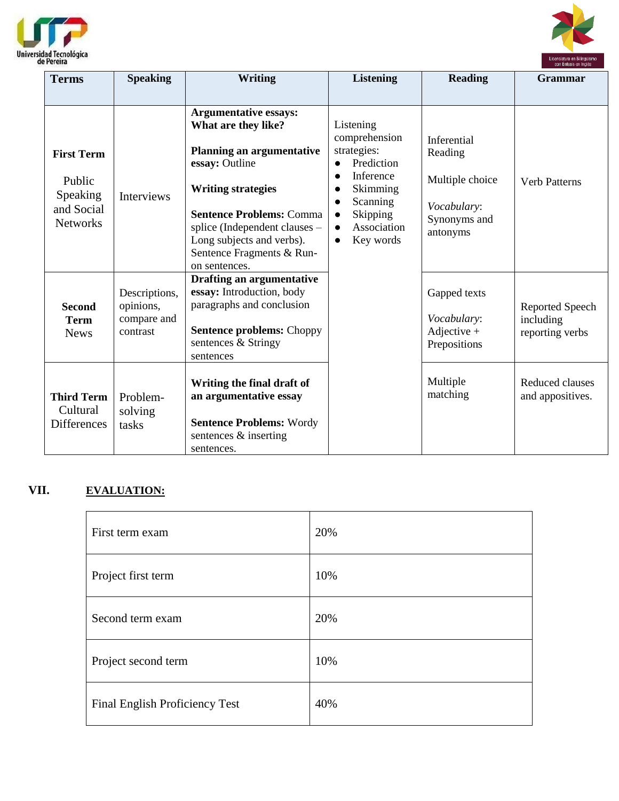



| <b>Terms</b>                                                             | <b>Speaking</b>                                       | <b>Writing</b>                                                                                                                                                                                                                                                                                                                                                                                                                                                                    | <b>Listening</b>                                                                     | <b>Reading</b>                                               | <b>Grammar</b>                                  |
|--------------------------------------------------------------------------|-------------------------------------------------------|-----------------------------------------------------------------------------------------------------------------------------------------------------------------------------------------------------------------------------------------------------------------------------------------------------------------------------------------------------------------------------------------------------------------------------------------------------------------------------------|--------------------------------------------------------------------------------------|--------------------------------------------------------------|-------------------------------------------------|
| <b>First Term</b><br>Public<br>Speaking<br>and Social<br><b>Networks</b> | <b>Interviews</b>                                     | <b>Argumentative essays:</b><br>What are they like?<br>Listening<br>comprehension<br>strategies:<br><b>Planning an argumentative</b><br>essay: Outline<br>Prediction<br>$\bullet$<br>Inference<br>$\bullet$<br><b>Writing strategies</b><br>Skimming<br>Scanning<br><b>Sentence Problems: Comma</b><br>Skipping<br>splice (Independent clauses -<br>Association<br>$\bullet$<br>Long subjects and verbs).<br>Key words<br>$\bullet$<br>Sentence Fragments & Run-<br>on sentences. | Inferential<br>Reading<br>Multiple choice<br>Vocabulary:<br>Synonyms and<br>antonyms | <b>Verb Patterns</b>                                         |                                                 |
| <b>Second</b><br><b>Term</b><br><b>News</b>                              | Descriptions,<br>opinions,<br>compare and<br>contrast | Drafting an argumentative<br>essay: Introduction, body<br>paragraphs and conclusion<br><b>Sentence problems: Choppy</b><br>sentences & Stringy<br>sentences                                                                                                                                                                                                                                                                                                                       |                                                                                      | Gapped texts<br>Vocabulary:<br>Adjective $+$<br>Prepositions | Reported Speech<br>including<br>reporting verbs |
| <b>Third Term</b><br>Cultural<br><b>Differences</b>                      | Problem-<br>solving<br>tasks                          | Writing the final draft of<br>an argumentative essay<br><b>Sentence Problems: Wordy</b><br>sentences & inserting<br>sentences.                                                                                                                                                                                                                                                                                                                                                    |                                                                                      | Multiple<br>matching                                         | Reduced clauses<br>and appositives.             |

# **VII. EVALUATION:**

| First term exam                | 20% |
|--------------------------------|-----|
| Project first term             | 10% |
| Second term exam               | 20% |
| Project second term            | 10% |
| Final English Proficiency Test | 40% |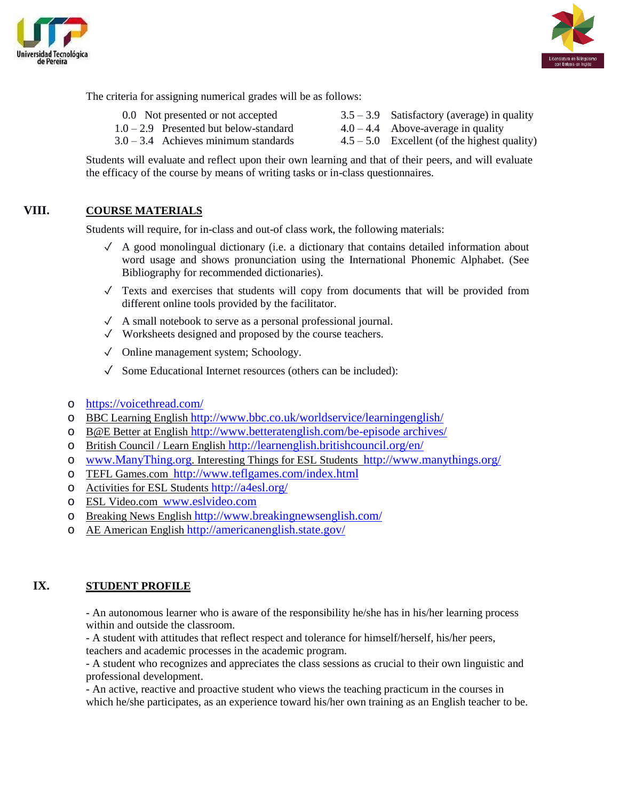



The criteria for assigning numerical grades will be as follows:

0.0 Not presented or not accepted  $3.5 - 3.9$  Satisfactory (average) in quality  $1.0 - 2.9$  Presented but below-standard  $4.0 - 4.4$  Above-average in quality  $3.0 - 3.4$  Achieves minimum standards  $4.5 - 5.0$  Excellent (of the highest quality)

Students will evaluate and reflect upon their own learning and that of their peers, and will evaluate the efficacy of the course by means of writing tasks or in-class questionnaires.

# **VIII. COURSE MATERIALS**

Students will require, for in-class and out-of class work, the following materials:

- $\checkmark$  A good monolingual dictionary (i.e. a dictionary that contains detailed information about word usage and shows pronunciation using the International Phonemic Alphabet. (See Bibliography for recommended dictionaries).
- $\checkmark$  Texts and exercises that students will copy from documents that will be provided from different online tools provided by the facilitator.
- ✓ A small notebook to serve as a personal professional journal.
- ✓ Worksheets designed and proposed by the course teachers.
- ✓ Online management system; Schoology.
- $\sqrt{\phantom{a}}$  Some Educational Internet resources (others can be included):
- o <https://voicethread.com/>
- o BBC Learning English <http://www.bbc.co.uk/worldservice/learningenglish/>
- o B@E Better at English [http://www.betteratenglish.com/be-episode archives/](http://www.betteratenglish.com/be-episode%20archives/)
- o British Council / Learn English <http://learnenglish.britishcouncil.org/en/>
- o [www.ManyThing.org](http://www.manything.org/). Interesting Things for ESL Students <http://www.manythings.org/>
- o TEFL Games.com <http://www.teflgames.com/index.html>
- o Activities for ESL Students <http://a4esl.org/>
- o ESL Video.com [www.eslvideo.com](http://www.eslvideo.com/)
- o Breaking News English <http://www.breakingnewsenglish.com/>
- o AE American English <http://americanenglish.state.gov/>

## **IX. STUDENT PROFILE**

- An autonomous learner who is aware of the responsibility he/she has in his/her learning process within and outside the classroom.

- A student with attitudes that reflect respect and tolerance for himself/herself, his/her peers, teachers and academic processes in the academic program.

- A student who recognizes and appreciates the class sessions as crucial to their own linguistic and professional development.

- An active, reactive and proactive student who views the teaching practicum in the courses in which he/she participates, as an experience toward his/her own training as an English teacher to be.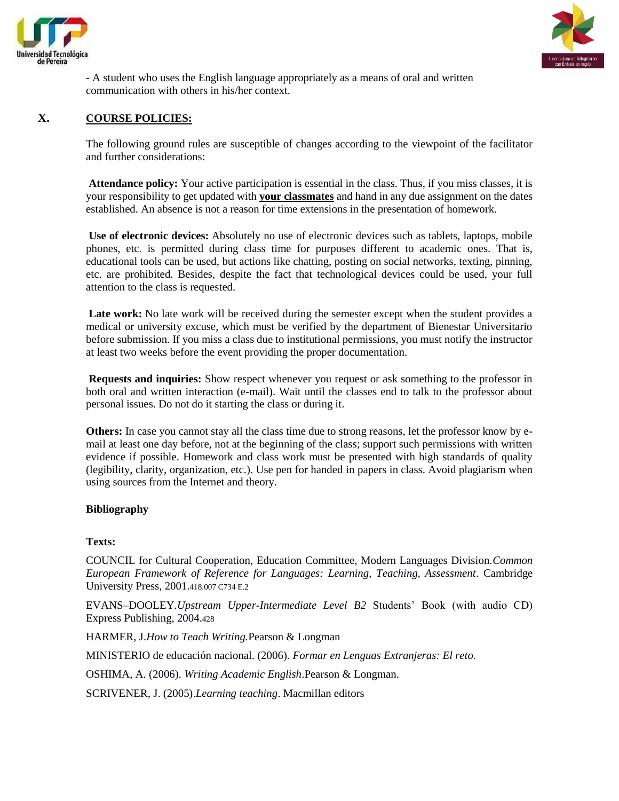



- A student who uses the English language appropriately as a means of oral and written communication with others in his/her context.

# **X. COURSE POLICIES:**

The following ground rules are susceptible of changes according to the viewpoint of the facilitator and further considerations:

**Attendance policy:** Your active participation is essential in the class. Thus, if you miss classes, it is your responsibility to get updated with **your classmates** and hand in any due assignment on the dates established. An absence is not a reason for time extensions in the presentation of homework.

**Use of electronic devices:** Absolutely no use of electronic devices such as tablets, laptops, mobile phones, etc. is permitted during class time for purposes different to academic ones. That is, educational tools can be used, but actions like chatting, posting on social networks, texting, pinning, etc. are prohibited. Besides, despite the fact that technological devices could be used, your full attention to the class is requested.

Late work: No late work will be received during the semester except when the student provides a medical or university excuse, which must be verified by the department of Bienestar Universitario before submission. If you miss a class due to institutional permissions, you must notify the instructor at least two weeks before the event providing the proper documentation.

**Requests and inquiries:** Show respect whenever you request or ask something to the professor in both oral and written interaction (e-mail). Wait until the classes end to talk to the professor about personal issues. Do not do it starting the class or during it.

**Others:** In case you cannot stay all the class time due to strong reasons, let the professor know by email at least one day before, not at the beginning of the class; support such permissions with written evidence if possible. Homework and class work must be presented with high standards of quality (legibility, clarity, organization, etc.). Use pen for handed in papers in class. Avoid plagiarism when using sources from the Internet and theory.

#### **Bibliography**

#### **Texts:**

COUNCIL for Cultural Cooperation, Education Committee, Modern Languages Division.*Common European Framework of Reference for Languages: Learning, Teaching, Assessment*. Cambridge University Press, 2001.418.007 C734 E.2

EVANS–DOOLEY.*Upstream Upper-Intermediate Level B2* Students' Book (with audio CD) Express Publishing, 2004.428

HARMER, J.*How to Teach Writing.*Pearson & Longman

MINISTERIO de educación nacional. (2006). *Formar en Lenguas Extranjeras: El reto.*

OSHIMA, A. (2006). *Writing Academic English*.Pearson & Longman.

SCRIVENER, J. (2005).*Learning teaching*. Macmillan editors